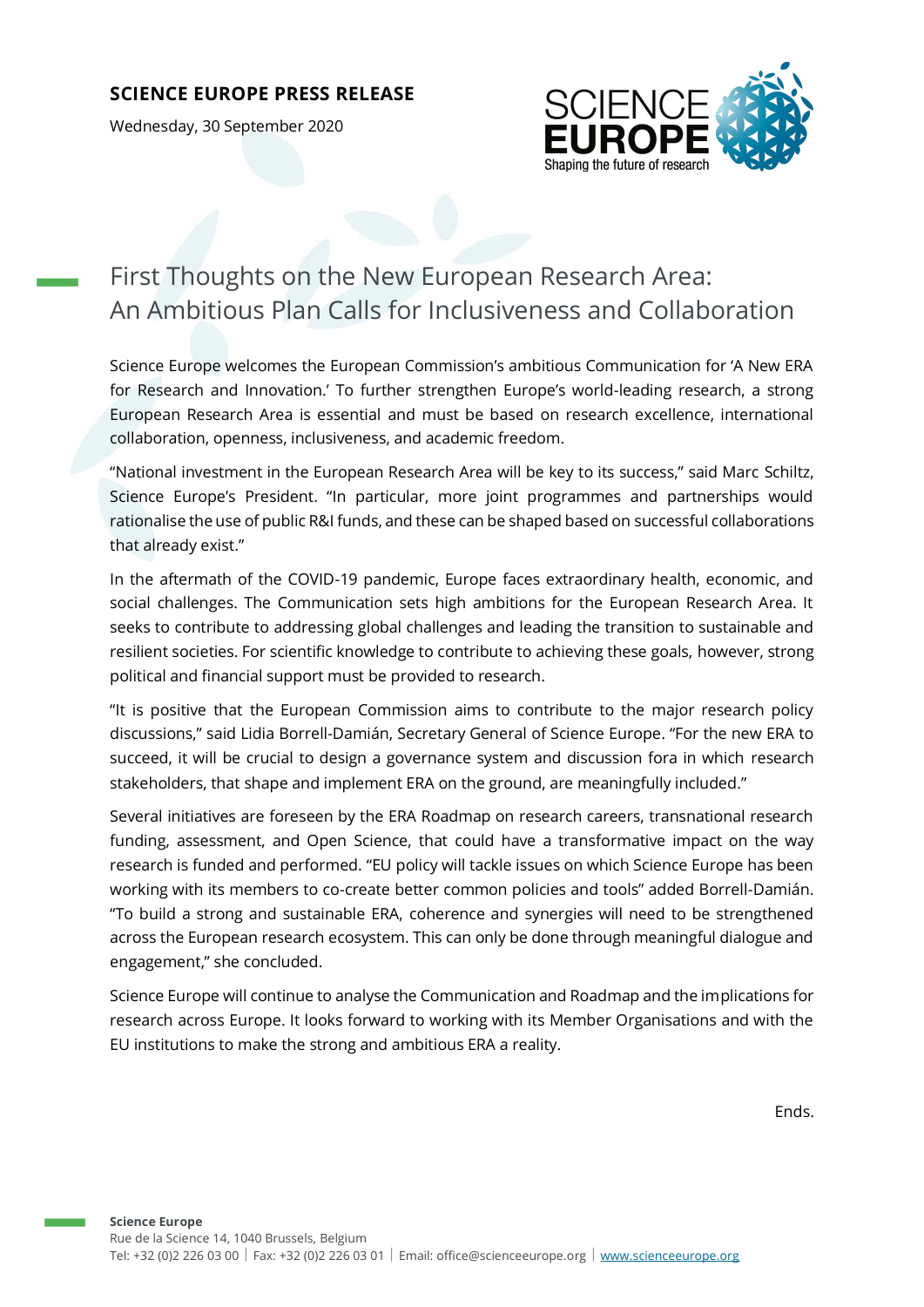## **SCIENCE EUROPE PRESS RELEASE**

Wednesday, 30 September 2020



## First Thoughts on the New European Research Area: An Ambitious Plan Calls for Inclusiveness and Collaboration

Science Europe welcomes the European Commission's ambitious Communication for 'A New ERA for Research and Innovation.' To further strengthen Europe's world-leading research, a strong European Research Area is essential and must be based on research excellence, international collaboration, openness, inclusiveness, and academic freedom.

"National investment in the European Research Area will be key to its success," said Marc Schiltz, Science Europe's President. "In particular, more joint programmes and partnerships would rationalise the use of public R&I funds, and these can be shaped based on successful collaborations that already exist."

In the aftermath of the COVID-19 pandemic, Europe faces extraordinary health, economic, and social challenges. The Communication sets high ambitions for the European Research Area. It seeks to contribute to addressing global challenges and leading the transition to sustainable and resilient societies. For scientific knowledge to contribute to achieving these goals, however, strong political and financial support must be provided to research.

"It is positive that the European Commission aims to contribute to the major research policy discussions," said Lidia Borrell-Damián, Secretary General of Science Europe. "For the new ERA to succeed, it will be crucial to design a governance system and discussion fora in which research stakeholders, that shape and implement ERA on the ground, are meaningfully included."

Several initiatives are foreseen by the ERA Roadmap on research careers, transnational research funding, assessment, and Open Science, that could have a transformative impact on the way research is funded and performed. "EU policy will tackle issues on which Science Europe has been working with its members to co-create better common policies and tools" added Borrell-Damián. "To build a strong and sustainable ERA, coherence and synergies will need to be strengthened across the European research ecosystem. This can only be done through meaningful dialogue and engagement," she concluded.

Science Europe will continue to analyse the Communication and Roadmap and the implications for research across Europe. It looks forward to working with its Member Organisations and with the EU institutions to make the strong and ambitious ERA a reality.

Ends.